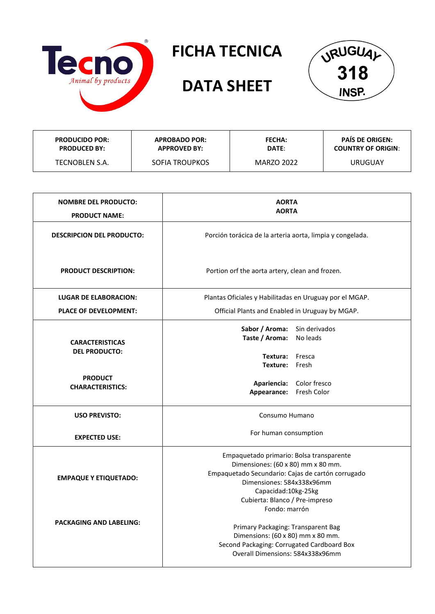

## **FICHA TECNICA**

## **DATA SHEET**



| <b>PRODUCIDO POR:</b> | <b>APROBADO POR:</b>  | <b>FECHA:</b> | <b>PAÍS DE ORIGEN:</b>    |
|-----------------------|-----------------------|---------------|---------------------------|
| <b>PRODUCED BY:</b>   | <b>APPROVED BY:</b>   | DATE:         | <b>COUNTRY OF ORIGIN:</b> |
| TECNOBLEN S.A.        | <b>SOFIA TROUPKOS</b> | MARZO 2022    | URUGUAY                   |

| <b>NOMBRE DEL PRODUCTO:</b><br><b>PRODUCT NAME:</b> | <b>AORTA</b><br><b>AORTA</b>                                                                                                                                                                                                                |  |
|-----------------------------------------------------|---------------------------------------------------------------------------------------------------------------------------------------------------------------------------------------------------------------------------------------------|--|
| <b>DESCRIPCION DEL PRODUCTO:</b>                    | Porción torácica de la arteria aorta, limpia y congelada.                                                                                                                                                                                   |  |
| <b>PRODUCT DESCRIPTION:</b>                         | Portion orf the aorta artery, clean and frozen.                                                                                                                                                                                             |  |
| <b>LUGAR DE ELABORACION:</b>                        | Plantas Oficiales y Habilitadas en Uruguay por el MGAP.                                                                                                                                                                                     |  |
| <b>PLACE OF DEVELOPMENT:</b>                        | Official Plants and Enabled in Uruguay by MGAP.                                                                                                                                                                                             |  |
| <b>CARACTERISTICAS</b><br><b>DEL PRODUCTO:</b>      | Sabor / Aroma: Sin derivados<br>Taste / Aroma: No leads<br>Textura: Fresca                                                                                                                                                                  |  |
|                                                     | Texture: Fresh                                                                                                                                                                                                                              |  |
| <b>PRODUCT</b><br><b>CHARACTERISTICS:</b>           | Apariencia: Color fresco<br>Appearance: Fresh Color                                                                                                                                                                                         |  |
| <b>USO PREVISTO:</b>                                | Consumo Humano                                                                                                                                                                                                                              |  |
| <b>EXPECTED USE:</b>                                | For human consumption                                                                                                                                                                                                                       |  |
| <b>EMPAQUE Y ETIQUETADO:</b>                        | Empaquetado primario: Bolsa transparente<br>Dimensiones: (60 x 80) mm x 80 mm.<br>Empaquetado Secundario: Cajas de cartón corrugado<br>Dimensiones: 584x338x96mm<br>Capacidad: 10kg-25kg<br>Cubierta: Blanco / Pre-impreso<br>Fondo: marrón |  |
| <b>PACKAGING AND LABELING:</b>                      | Primary Packaging: Transparent Bag<br>Dimensions: (60 x 80) mm x 80 mm.<br>Second Packaging: Corrugated Cardboard Box<br>Overall Dimensions: 584x338x96mm                                                                                   |  |